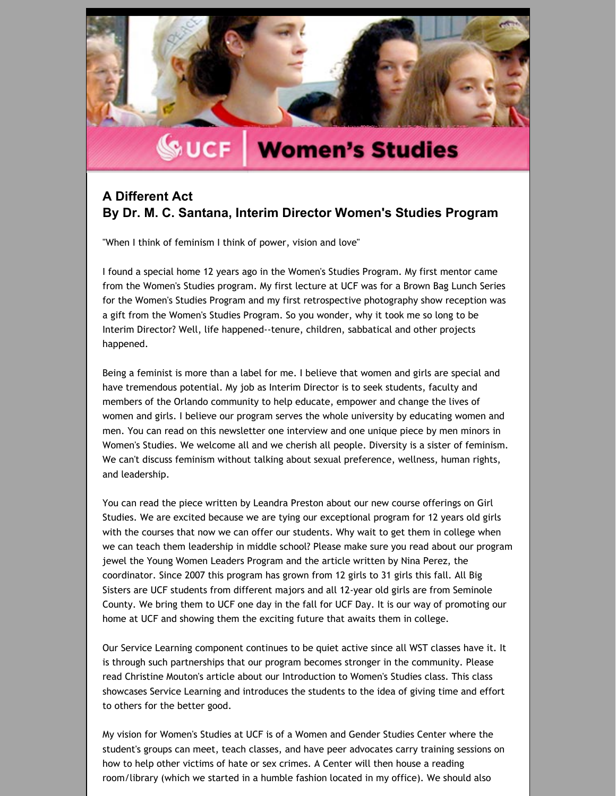

# **WOMER'S Studies**

### **A Different Act By Dr. M. C. Santana, Interim Director Women's Studies Program**

"When I think of feminism I think of power, vision and love"

I found a special home 12 years ago in the Women's Studies Program. My first mentor came from the Women's Studies program. My first lecture at UCF was for a Brown Bag Lunch Series for the Women's Studies Program and my first retrospective photography show reception was a gift from the Women's Studies Program. So you wonder, why it took me so long to be Interim Director? Well, life happened‐‐tenure, children, sabbatical and other projects happened.

Being a feminist is more than a label for me. I believe that women and girls are special and have tremendous potential. My job as Interim Director is to seek students, faculty and members of the Orlando community to help educate, empower and change the lives of women and girls. I believe our program serves the whole university by educating women and men. You can read on this newsletter one interview and one unique piece by men minors in Women's Studies. We welcome all and we cherish all people. Diversity is a sister of feminism. We can't discuss feminism without talking about sexual preference, wellness, human rights, and leadership.

You can read the piece written by Leandra Preston about our new course offerings on Girl Studies. We are excited because we are tying our exceptional program for 12 years old girls with the courses that now we can offer our students. Why wait to get them in college when we can teach them leadership in middle school? Please make sure you read about our program jewel the Young Women Leaders Program and the article written by Nina Perez, the coordinator. Since 2007 this program has grown from 12 girls to 31 girls this fall. All Big Sisters are UCF students from different majors and all 12‐year old girls are from Seminole County. We bring them to UCF one day in the fall for UCF Day. It is our way of promoting our home at UCF and showing them the exciting future that awaits them in college.

Our Service Learning component continues to be quiet active since all WST classes have it. It is through such partnerships that our program becomes stronger in the community. Please read Christine Mouton's article about our Introduction to Women's Studies class. This class showcases Service Learning and introduces the students to the idea of giving time and effort to others for the better good.

My vision for Women's Studies at UCF is of a Women and Gender Studies Center where the student's groups can meet, teach classes, and have peer advocates carry training sessions on how to help other victims of hate or sex crimes. A Center will then house a reading room/library (which we started in a humble fashion located in my office). We should also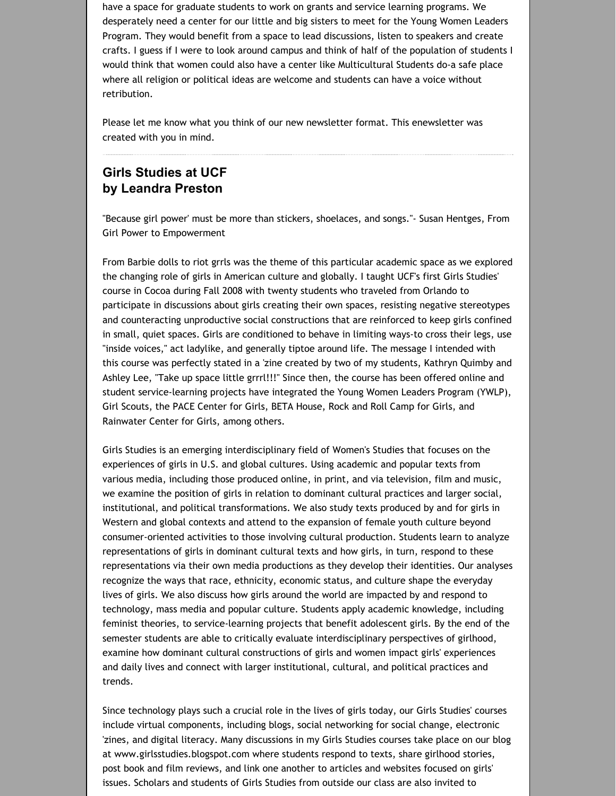have a space for graduate students to work on grants and service learning programs. We desperately need a center for our little and big sisters to meet for the Young Women Leaders Program. They would benefit from a space to lead discussions, listen to speakers and create crafts. I guess if I were to look around campus and think of half of the population of students I would think that women could also have a center like Multicultural Students do‐a safe place where all religion or political ideas are welcome and students can have a voice without retribution.

Please let me know what you think of our new newsletter format. This enewsletter was created with you in mind.

## **Girls Studies at UCF by Leandra Preston**

"Because girl power' must be more than stickers, shoelaces, and songs."‐ Susan Hentges, From Girl Power to Empowerment

From Barbie dolls to riot grrls was the theme of this particular academic space as we explored the changing role of girls in American culture and globally. I taught UCF's first Girls Studies' course in Cocoa during Fall 2008 with twenty students who traveled from Orlando to participate in discussions about girls creating their own spaces, resisting negative stereotypes and counteracting unproductive social constructions that are reinforced to keep girls confined in small, quiet spaces. Girls are conditioned to behave in limiting ways‐to cross their legs, use "inside voices," act ladylike, and generally tiptoe around life. The message I intended with this course was perfectly stated in a 'zine created by two of my students, Kathryn Quimby and Ashley Lee, "Take up space little grrrl!!!" Since then, the course has been offered online and student service‐learning projects have integrated the Young Women Leaders Program (YWLP), Girl Scouts, the PACE Center for Girls, BETA House, Rock and Roll Camp for Girls, and Rainwater Center for Girls, among others.

Girls Studies is an emerging interdisciplinary field of Women's Studies that focuses on the experiences of girls in U.S. and global cultures. Using academic and popular texts from various media, including those produced online, in print, and via television, film and music, we examine the position of girls in relation to dominant cultural practices and larger social, institutional, and political transformations. We also study texts produced by and for girls in Western and global contexts and attend to the expansion of female youth culture beyond consumer-oriented activities to those involving cultural production. Students learn to analyze representations of girls in dominant cultural texts and how girls, in turn, respond to these representations via their own media productions as they develop their identities. Our analyses recognize the ways that race, ethnicity, economic status, and culture shape the everyday lives of girls. We also discuss how girls around the world are impacted by and respond to technology, mass media and popular culture. Students apply academic knowledge, including feminist theories, to service‐learning projects that benefit adolescent girls. By the end of the semester students are able to critically evaluate interdisciplinary perspectives of girlhood, examine how dominant cultural constructions of girls and women impact girls' experiences and daily lives and connect with larger institutional, cultural, and political practices and trends.

Since technology plays such a crucial role in the lives of girls today, our Girls Studies' courses include virtual components, including blogs, social networking for social change, electronic 'zines, and digital literacy. Many discussions in my Girls Studies courses take place on our blog at www.girlsstudies.blogspot.com where students respond to texts, share girlhood stories, post book and film reviews, and link one another to articles and websites focused on girls' issues. Scholars and students of Girls Studies from outside our class are also invited to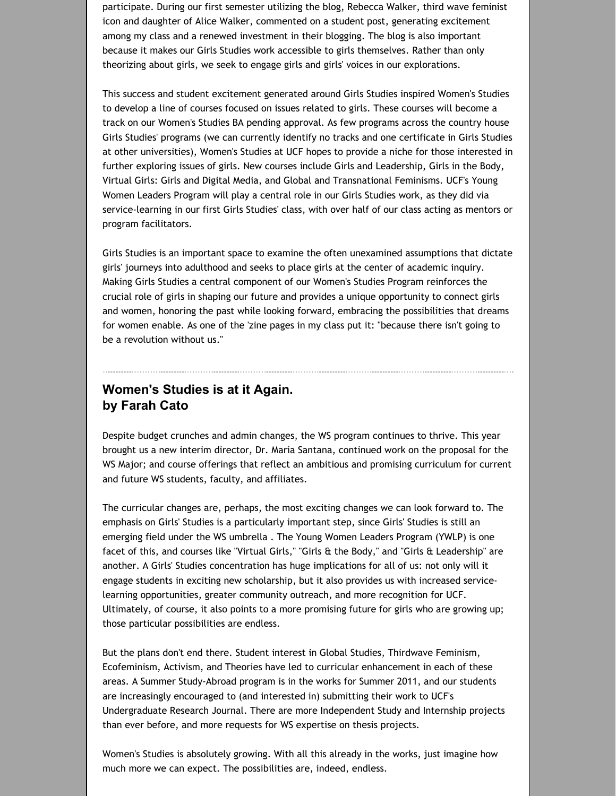participate. During our first semester utilizing the blog, Rebecca Walker, third wave feminist icon and daughter of Alice Walker, commented on a student post, generating excitement among my class and a renewed investment in their blogging. The blog is also important because it makes our Girls Studies work accessible to girls themselves. Rather than only theorizing about girls, we seek to engage girls and girls' voices in our explorations.

This success and student excitement generated around Girls Studies inspired Women's Studies to develop a line of courses focused on issues related to girls. These courses will become a track on our Women's Studies BA pending approval. As few programs across the country house Girls Studies' programs (we can currently identify no tracks and one certificate in Girls Studies at other universities), Women's Studies at UCF hopes to provide a niche for those interested in further exploring issues of girls. New courses include Girls and Leadership, Girls in the Body, Virtual Girls: Girls and Digital Media, and Global and Transnational Feminisms. UCF's Young Women Leaders Program will play a central role in our Girls Studies work, as they did via service‐learning in our first Girls Studies' class, with over half of our class acting as mentors or program facilitators.

Girls Studies is an important space to examine the often unexamined assumptions that dictate girls' journeys into adulthood and seeks to place girls at the center of academic inquiry. Making Girls Studies a central component of our Women's Studies Program reinforces the crucial role of girls in shaping our future and provides a unique opportunity to connect girls and women, honoring the past while looking forward, embracing the possibilities that dreams for women enable. As one of the 'zine pages in my class put it: "because there isn't going to be a revolution without us."

#### **Women's Studies is at it Again. by Farah Cato**

Despite budget crunches and admin changes, the WS program continues to thrive. This year brought us a new interim director, Dr. Maria Santana, continued work on the proposal for the WS Major; and course offerings that reflect an ambitious and promising curriculum for current and future WS students, faculty, and affiliates.

The curricular changes are, perhaps, the most exciting changes we can look forward to. The emphasis on Girls' Studies is a particularly important step, since Girls' Studies is still an emerging field under the WS umbrella . The Young Women Leaders Program (YWLP) is one facet of this, and courses like "Virtual Girls," "Girls & the Body," and "Girls & Leadership" are another. A Girls' Studies concentration has huge implications for all of us: not only will it engage students in exciting new scholarship, but it also provides us with increased service‐ learning opportunities, greater community outreach, and more recognition for UCF. Ultimately, of course, it also points to a more promising future for girls who are growing up; those particular possibilities are endless.

But the plans don't end there. Student interest in Global Studies, Thirdwave Feminism, Ecofeminism, Activism, and Theories have led to curricular enhancement in each of these areas. A Summer Study‐Abroad program is in the works for Summer 2011, and our students are increasingly encouraged to (and interested in) submitting their work to UCF's Undergraduate Research Journal. There are more Independent Study and Internship projects than ever before, and more requests for WS expertise on thesis projects.

Women's Studies is absolutely growing. With all this already in the works, just imagine how much more we can expect. The possibilities are, indeed, endless.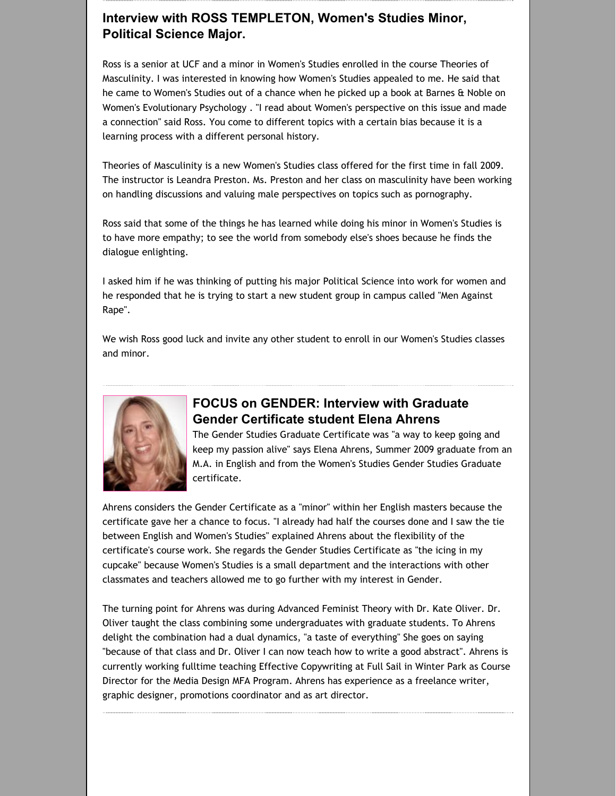### **Interview with ROSS TEMPLETON, Women's Studies Minor, Political Science Major.**

Ross is a senior at UCF and a minor in Women's Studies enrolled in the course Theories of Masculinity. I was interested in knowing how Women's Studies appealed to me. He said that he came to Women's Studies out of a chance when he picked up a book at Barnes & Noble on Women's Evolutionary Psychology . "I read about Women's perspective on this issue and made a connection" said Ross. You come to different topics with a certain bias because it is a learning process with a different personal history.

Theories of Masculinity is a new Women's Studies class offered for the first time in fall 2009. The instructor is Leandra Preston. Ms. Preston and her class on masculinity have been working on handling discussions and valuing male perspectives on topics such as pornography.

Ross said that some of the things he has learned while doing his minor in Women's Studies is to have more empathy; to see the world from somebody else's shoes because he finds the dialogue enlighting.

I asked him if he was thinking of putting his major Political Science into work for women and he responded that he is trying to start a new student group in campus called "Men Against Rape".

We wish Ross good luck and invite any other student to enroll in our Women's Studies classes and minor.



## **FOCUS on GENDER: Interview with Graduate Gender Certificate student Elena Ahrens**

The Gender Studies Graduate Certificate was "a way to keep going and keep my passion alive" says Elena Ahrens, Summer 2009 graduate from an M.A. in English and from the Women's Studies Gender Studies Graduate certificate.

Ahrens considers the Gender Certificate as a "minor" within her English masters because the certificate gave her a chance to focus. "I already had half the courses done and I saw the tie between English and Women's Studies" explained Ahrens about the flexibility of the certificate's course work. She regards the Gender Studies Certificate as "the icing in my cupcake" because Women's Studies is a small department and the interactions with other classmates and teachers allowed me to go further with my interest in Gender.

The turning point for Ahrens was during Advanced Feminist Theory with Dr. Kate Oliver. Dr. Oliver taught the class combining some undergraduates with graduate students. To Ahrens delight the combination had a dual dynamics, "a taste of everything" She goes on saying "because of that class and Dr. Oliver I can now teach how to write a good abstract". Ahrens is currently working fulltime teaching Effective Copywriting at Full Sail in Winter Park as Course Director for the Media Design MFA Program. Ahrens has experience as a freelance writer, graphic designer, promotions coordinator and as art director.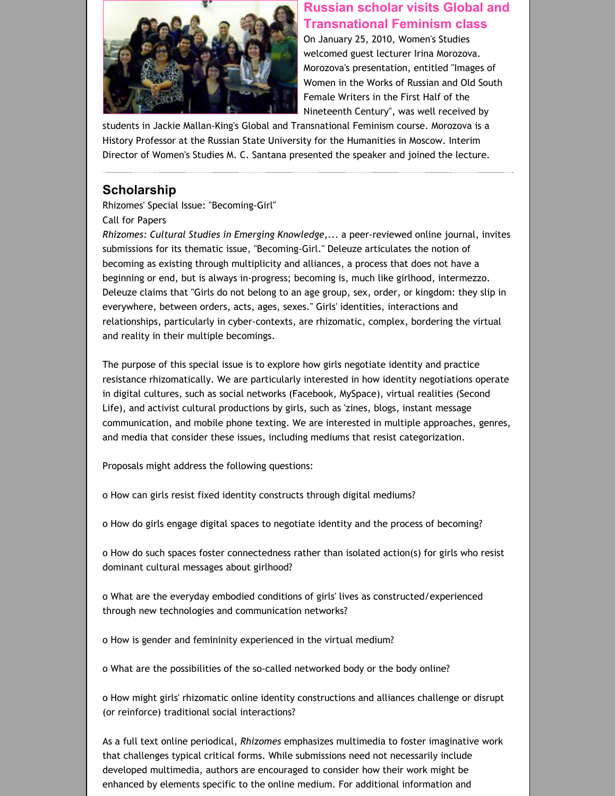

#### **Russian scholar visits Global and [Transnational](http://womensstudies.cah.ucf.edu/highlights.php?id=514) Feminism class**

On January 25, 2010, Women's Studies welcomed guest lecturer Irina Morozova. Morozova's presentation, entitled "Images of Women in the Works of Russian and Old South Female Writers in the First Half of the Nineteenth Century", was well received by

students in Jackie Mallan‐King's Global and Transnational Feminism course. Morozova is a History Professor at the Russian State University for the Humanities in Moscow. Interim Director of Women's Studies M. C. Santana presented the speaker and joined the lecture.

#### **Scholarship**

Rhizomes' Special Issue: "Becoming‐Girl" Call for Papers

*Rhizomes: Cultural Studies in Emerging Knowledge*,... a peer‐reviewed online journal, invites submissions for its thematic issue, "Becoming‐Girl." Deleuze articulates the notion of becoming as existing through multiplicity and alliances, a process that does not have a beginning or end, but is always in‐progress; becoming is, much like girlhood, intermezzo. Deleuze claims that "Girls do not belong to an age group, sex, order, or kingdom: they slip in everywhere, between orders, acts, ages, sexes." Girls' identities, interactions and relationships, particularly in cyber‐contexts, are rhizomatic, complex, bordering the virtual and reality in their multiple becomings.

The purpose of this special issue is to explore how girls negotiate identity and practice resistance rhizomatically. We are particularly interested in how identity negotiations operate in digital cultures, such as social networks (Facebook, MySpace), virtual realities (Second Life), and activist cultural productions by girls, such as 'zines, blogs, instant message communication, and mobile phone texting. We are interested in multiple approaches, genres, and media that consider these issues, including mediums that resist categorization.

Proposals might address the following questions:

o How can girls resist fixed identity constructs through digital mediums?

o How do girls engage digital spaces to negotiate identity and the process of becoming?

o How do such spaces foster connectedness rather than isolated action(s) for girls who resist dominant cultural messages about girlhood?

o What are the everyday embodied conditions of girls' lives as constructed/experienced through new technologies and communication networks?

o How is gender and femininity experienced in the virtual medium?

o What are the possibilities of the so‐called networked body or the body online?

o How might girls' rhizomatic online identity constructions and alliances challenge or disrupt (or reinforce) traditional social interactions?

As a full text online periodical, *Rhizomes* emphasizes multimedia to foster imaginative work that challenges typical critical forms. While submissions need not necessarily include developed multimedia, authors are encouraged to consider how their work might be enhanced by elements specific to the online medium. For additional information and